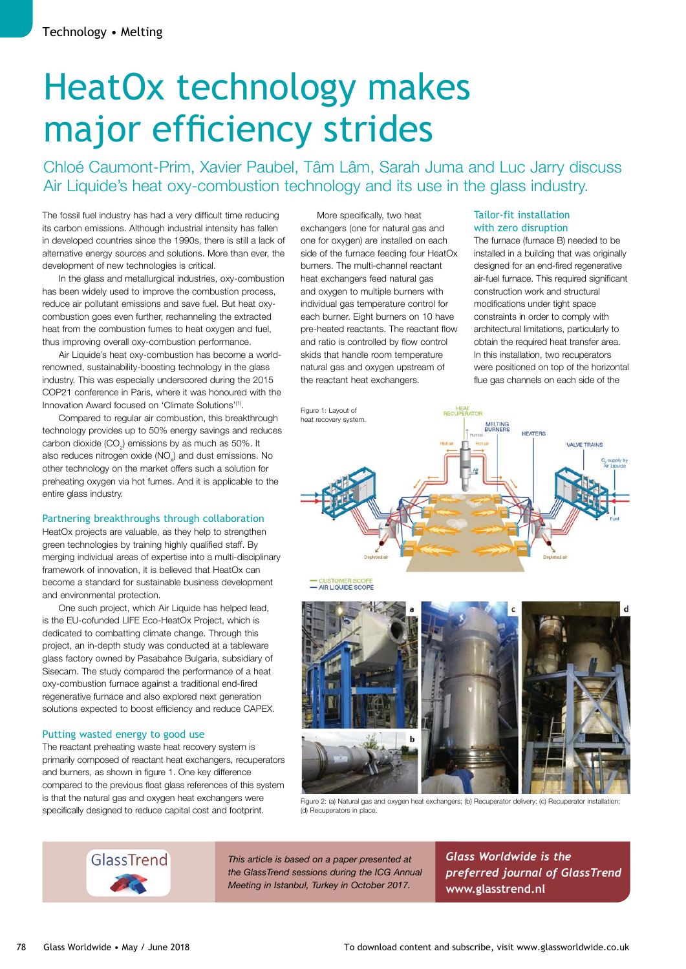# HeatOx technology makes major efficiency strides

Chloé Caumont-Prim, Xavier Paubel, Tâm Lâm, Sarah Juma and Luc Jarry discuss Air Liquide's heat oxy-combustion technology and its use in the glass industry.

The fossil fuel industry has had a very difficult time reducing its carbon emissions. Although industrial intensity has fallen in developed countries since the 1990s, there is still a lack of alternative energy sources and solutions. More than ever, the development of new technologies is critical.

In the glass and metallurgical industries, oxy-combustion has been widely used to improve the combustion process, reduce air pollutant emissions and save fuel. But heat oxycombustion goes even further, rechanneling the extracted heat from the combustion fumes to heat oxygen and fuel, thus improving overall oxy-combustion performance.

Air Liquide's heat oxy-combustion has become a worldrenowned, sustainability-boosting technology in the glass industry. This was especially underscored during the 2015 COP21 conference in Paris, where it was honoured with the Innovation Award focused on 'Climate Solutions'<sup>(1)</sup>.

Compared to regular air combustion, this breakthrough technology provides up to 50% energy savings and reduces carbon dioxide (CO $_{2}$ ) emissions by as much as 50%. It also reduces nitrogen oxide (NO<sub>x</sub>) and dust emissions. No other technology on the market offers such a solution for preheating oxygen via hot fumes. And it is applicable to the entire glass industry.

#### Partnering breakthroughs through collaboration

HeatOx projects are valuable, as they help to strengthen green technologies by training highly qualified staff. By merging individual areas of expertise into a multi-disciplinary framework of innovation, it is believed that HeatOx can become a standard for sustainable business development and environmental protection.

One such project, which Air Liquide has helped lead, is the EU-cofunded LIFE Eco-HeatOx Project, which is dedicated to combatting climate change. Through this project, an in-depth study was conducted at a tableware glass factory owned by Pasabahce Bulgaria, subsidiary of Sisecam. The study compared the performance of a heat oxy-combustion furnace against a traditional end-fired regenerative furnace and also explored next generation solutions expected to boost efficiency and reduce CAPEX.

#### Putting wasted energy to good use

The reactant preheating waste heat recovery system is primarily composed of reactant heat exchangers, recuperators and burners, as shown in figure 1. One key difference compared to the previous float glass references of this system is that the natural gas and oxygen heat exchangers were specifically designed to reduce capital cost and footprint.

More specifically, two heat exchangers (one for natural gas and one for oxygen) are installed on each side of the furnace feeding four HeatOx burners. The multi-channel reactant heat exchangers feed natural gas and oxygen to multiple burners with individual gas temperature control for each burner. Eight burners on 10 have pre-heated reactants. The reactant flow and ratio is controlled by flow control skids that handle room temperature natural gas and oxygen upstream of the reactant heat exchangers.

#### Tailor-fit installation with zero disruption

The furnace (furnace B) needed to be installed in a building that was originally designed for an end-fired regenerative air-fuel furnace. This required significant construction work and structural modifications under tight space constraints in order to comply with architectural limitations, particularly to obtain the required heat transfer area. In this installation, two recuperators were positioned on top of the horizontal flue gas channels on each side of the



- AIR LIQUIDE SCOPE



Figure 2: (a) Natural gas and oxygen heat exchangers; (b) Recuperator delivery; (c) Recuperator installation; (d) Recuperators in place.

GlassTrend

*This article is based on a paper presented at the GlassTrend sessions during the ICG Annual Meeting in Istanbul, Turkey in October 2017.*

*Glass Worldwide is the preferred journal of GlassTrend*  **www.glasstrend.nl**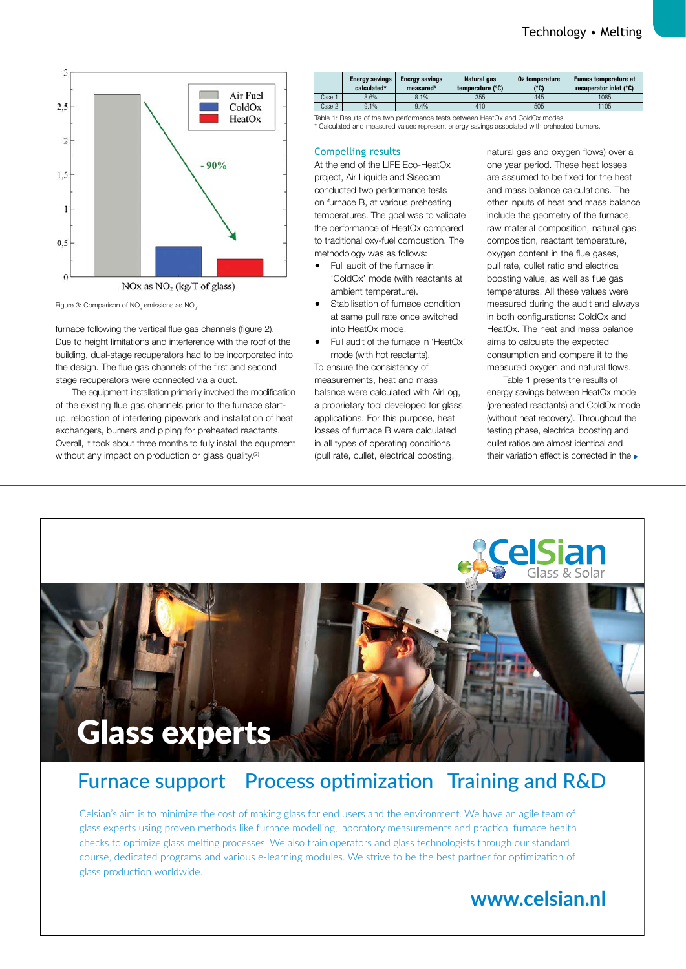

Figure 3: Comparison of  $\mathsf{NO}_\mathsf{x}$  emissions as  $\mathsf{NO}_\mathsf{2}.$ 

furnace following the vertical flue gas channels (figure 2). Due to height limitations and interference with the roof of the building, dual-stage recuperators had to be incorporated into the design. The flue gas channels of the first and second stage recuperators were connected via a duct.

The equipment installation primarily involved the modification of the existing flue gas channels prior to the furnace startup, relocation of interfering pipework and installation of heat exchangers, burners and piping for preheated reactants. Overall, it took about three months to fully install the equipment without any impact on production or glass quality.<sup>(2)</sup>



\* Calculated and measured values represent energy savings associated with preheated burners.

#### Compelling results

At the end of the LIFE Eco-HeatOx project, Air Liquide and Sisecam conducted two performance tests on furnace B, at various preheating temperatures. The goal was to validate the performance of HeatOx compared to traditional oxy-fuel combustion. The methodology was as follows:

- Full audit of the furnace in 'ColdOx' mode (with reactants at ambient temperature).
- Stabilisation of furnace condition at same pull rate once switched into HeatOx mode.
- Full audit of the furnace in 'HeatOx' mode (with hot reactants). To ensure the consistency of measurements, heat and mass balance were calculated with AirLog, a proprietary tool developed for glass applications. For this purpose, heat losses of furnace B were calculated in all types of operating conditions (pull rate, cullet, electrical boosting,

natural gas and oxygen flows) over a one year period. These heat losses are assumed to be fixed for the heat and mass balance calculations. The other inputs of heat and mass balance include the geometry of the furnace, raw material composition, natural gas composition, reactant temperature, oxygen content in the flue gases, pull rate, cullet ratio and electrical boosting value, as well as flue gas temperatures. All these values were measured during the audit and always in both configurations: ColdOx and HeatOx. The heat and mass balance aims to calculate the expected consumption and compare it to the measured oxygen and natural flows.

Table 1 presents the results of energy savings between HeatOx mode (preheated reactants) and ColdOx mode (without heat recovery). Throughout the testing phase, electrical boosting and cullet ratios are almost identical and their variation effect is corrected in the



## Furnace support Process optimization Training and R&D

Celsian's aim is to minimize the cost of making glass for end users and the environment. We have an agile team of glass experts using proven methods like furnace modelling, laboratory measurements and practical furnace health checks to optimize glass melting processes. We also train operators and glass technologists through our standard course, dedicated programs and various e-learning modules. We strive to be the best partner for optimization of glass production worldwide.

## **www.celsian.nl**